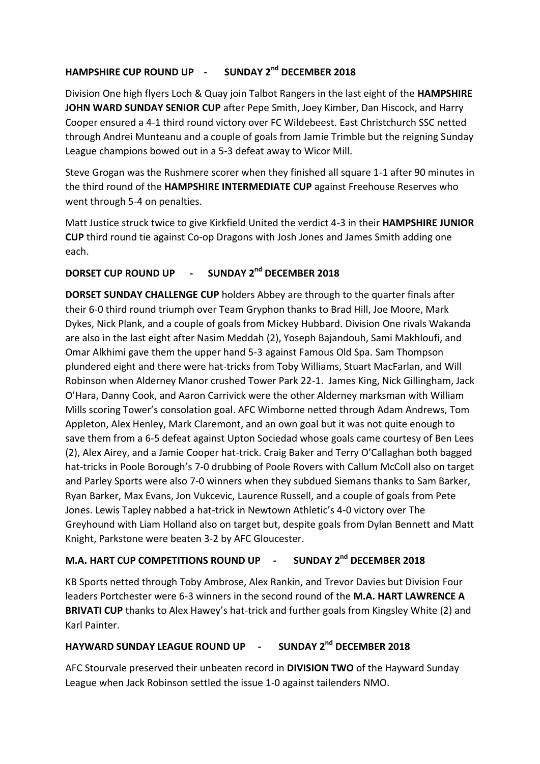## **HAMPSHIRE CUP ROUND UP - SUNDAY 2nd DECEMBER 2018**

Division One high flyers Loch & Quay join Talbot Rangers in the last eight of the **HAMPSHIRE JOHN WARD SUNDAY SENIOR CUP** after Pepe Smith, Joey Kimber, Dan Hiscock, and Harry Cooper ensured a 4-1 third round victory over FC Wildebeest. East Christchurch SSC netted through Andrei Munteanu and a couple of goals from Jamie Trimble but the reigning Sunday League champions bowed out in a 5-3 defeat away to Wicor Mill.

Steve Grogan was the Rushmere scorer when they finished all square 1-1 after 90 minutes in the third round of the **HAMPSHIRE INTERMEDIATE CUP** against Freehouse Reserves who went through 5-4 on penalties.

Matt Justice struck twice to give Kirkfield United the verdict 4-3 in their **HAMPSHIRE JUNIOR CUP** third round tie against Co-op Dragons with Josh Jones and James Smith adding one each.

## **DORSET CUP ROUND UP - SUNDAY 2nd DECEMBER 2018**

**DORSET SUNDAY CHALLENGE CUP** holders Abbey are through to the quarter finals after their 6-0 third round triumph over Team Gryphon thanks to Brad Hill, Joe Moore, Mark Dykes, Nick Plank, and a couple of goals from Mickey Hubbard. Division One rivals Wakanda are also in the last eight after Nasim Meddah (2), Yoseph Bajandouh, Sami Makhloufi, and Omar Alkhimi gave them the upper hand 5-3 against Famous Old Spa. Sam Thompson plundered eight and there were hat-tricks from Toby Williams, Stuart MacFarlan, and Will Robinson when Alderney Manor crushed Tower Park 22-1. James King, Nick Gillingham, Jack O'Hara, Danny Cook, and Aaron Carrivick were the other Alderney marksman with William Mills scoring Tower's consolation goal. AFC Wimborne netted through Adam Andrews, Tom Appleton, Alex Henley, Mark Claremont, and an own goal but it was not quite enough to save them from a 6-5 defeat against Upton Sociedad whose goals came courtesy of Ben Lees (2), Alex Airey, and a Jamie Cooper hat-trick. Craig Baker and Terry O'Callaghan both bagged hat-tricks in Poole Borough's 7-0 drubbing of Poole Rovers with Callum McColl also on target and Parley Sports were also 7-0 winners when they subdued Siemans thanks to Sam Barker, Ryan Barker, Max Evans, Jon Vukcevic, Laurence Russell, and a couple of goals from Pete Jones. Lewis Tapley nabbed a hat-trick in Newtown Athletic's 4-0 victory over The Greyhound with Liam Holland also on target but, despite goals from Dylan Bennett and Matt Knight, Parkstone were beaten 3-2 by AFC Gloucester.

## **M.A. HART CUP COMPETITIONS ROUND UP - SUNDAY 2nd DECEMBER 2018**

KB Sports netted through Toby Ambrose, Alex Rankin, and Trevor Davies but Division Four leaders Portchester were 6-3 winners in the second round of the **M.A. HART LAWRENCE A BRIVATI CUP** thanks to Alex Hawey's hat-trick and further goals from Kingsley White (2) and Karl Painter.

## **HAYWARD SUNDAY LEAGUE ROUND UP - SUNDAY 2nd DECEMBER 2018**

AFC Stourvale preserved their unbeaten record in **DIVISION TWO** of the Hayward Sunday League when Jack Robinson settled the issue 1-0 against tailenders NMO.